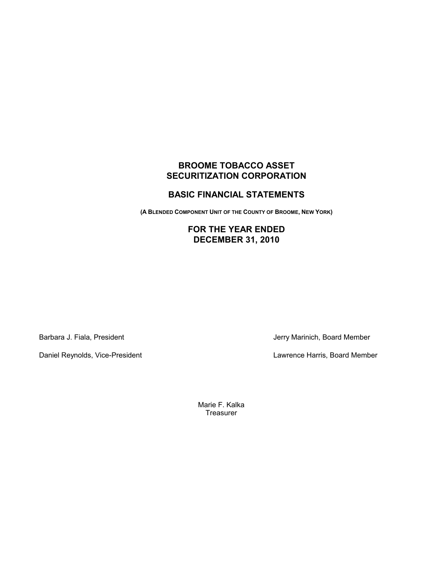# **BROOME TOBACCO ASSET SECURITIZATION CORPORATION**

# **BASIC FINANCIAL STATEMENTS**

**(A BLENDED COMPONENT UNIT OF THE COUNTY OF BROOME, NEW YORK)**

# **FOR THE YEAR ENDED DECEMBER 31, 2010**

Barbara J. Fiala, President Verraits and American Control of Terry Marinich, Board Member

Daniel Reynolds, Vice-President Lawrence Harris, Board Member

Marie F. Kalka **Treasurer**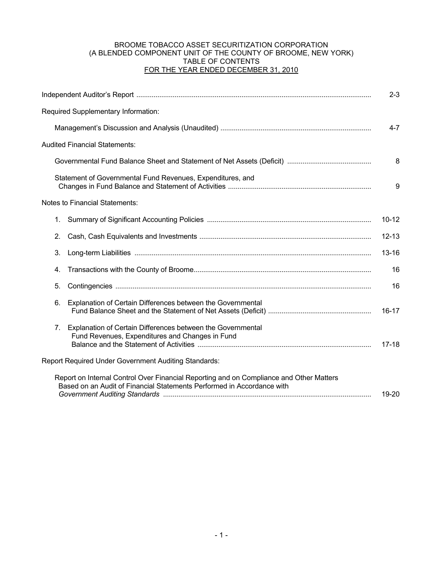# BROOME TOBACCO ASSET SECURITIZATION CORPORATION (A BLENDED COMPONENT UNIT OF THE COUNTY OF BROOME, NEW YORK) TABLE OF CONTENTS FOR THE YEAR ENDED DECEMBER 31, 2010

|                                                                                                                                                                   | $2 - 3$   |  |  |  |  |  |  |  |
|-------------------------------------------------------------------------------------------------------------------------------------------------------------------|-----------|--|--|--|--|--|--|--|
| Required Supplementary Information:                                                                                                                               |           |  |  |  |  |  |  |  |
|                                                                                                                                                                   | $4 - 7$   |  |  |  |  |  |  |  |
| <b>Audited Financial Statements:</b>                                                                                                                              |           |  |  |  |  |  |  |  |
|                                                                                                                                                                   | 8         |  |  |  |  |  |  |  |
| Statement of Governmental Fund Revenues, Expenditures, and                                                                                                        |           |  |  |  |  |  |  |  |
| <b>Notes to Financial Statements:</b>                                                                                                                             |           |  |  |  |  |  |  |  |
| 1.                                                                                                                                                                | $10 - 12$ |  |  |  |  |  |  |  |
| 2.                                                                                                                                                                | $12 - 13$ |  |  |  |  |  |  |  |
| 3.                                                                                                                                                                | $13 - 16$ |  |  |  |  |  |  |  |
| 4.                                                                                                                                                                | 16        |  |  |  |  |  |  |  |
| 5.                                                                                                                                                                | 16        |  |  |  |  |  |  |  |
| Explanation of Certain Differences between the Governmental<br>6.                                                                                                 | $16 - 17$ |  |  |  |  |  |  |  |
| Explanation of Certain Differences between the Governmental<br>$7_{\scriptscriptstyle{\ddots}}$<br>Fund Revenues, Expenditures and Changes in Fund                | $17 - 18$ |  |  |  |  |  |  |  |
| Report Required Under Government Auditing Standards:                                                                                                              |           |  |  |  |  |  |  |  |
| Report on Internal Control Over Financial Reporting and on Compliance and Other Matters<br>Based on an Audit of Financial Statements Performed in Accordance with | 19-20     |  |  |  |  |  |  |  |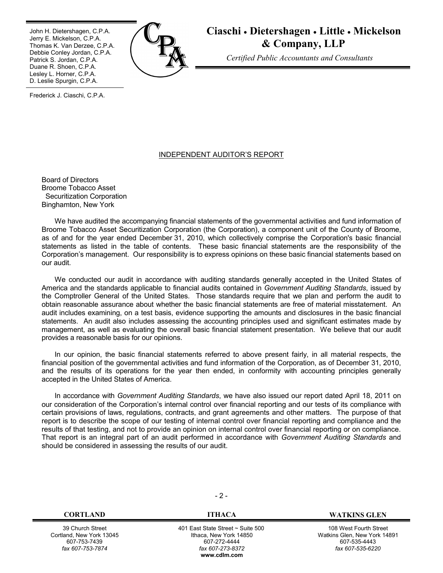Ī John H. Dietershagen, C.P.A. Jerry E. Mickelson, C.P.A. Thomas K. Van Derzee, C.P.A. Debbie Conley Jordan, C.P.A. Patrick S. Jordan, C.P.A. Duane R. Shoen, C.P.A. Lesley L. Horner, C.P.A. D. Leslie Spurgin, C.P.A.



**Ciaschi Dietershagen Little Mickelson & Company, LLP**

*Certified Public Accountants and Consultants*

Frederick J. Ciaschi, C.P.A.

### INDEPENDENT AUDITOR'S REPORT

Board of Directors Broome Tobacco Asset Securitization Corporation Binghamton, New York

We have audited the accompanying financial statements of the governmental activities and fund information of Broome Tobacco Asset Securitization Corporation (the Corporation), a component unit of the County of Broome, as of and for the year ended December 31, 2010, which collectively comprise the Corporation's basic financial statements as listed in the table of contents. These basic financial statements are the responsibility of the Corporation's management. Our responsibility is to express opinions on these basic financial statements based on our audit.

We conducted our audit in accordance with auditing standards generally accepted in the United States of America and the standards applicable to financial audits contained in *Government Auditing Standards*, issued by the Comptroller General of the United States. Those standards require that we plan and perform the audit to obtain reasonable assurance about whether the basic financial statements are free of material misstatement. An audit includes examining, on a test basis, evidence supporting the amounts and disclosures in the basic financial statements. An audit also includes assessing the accounting principles used and significant estimates made by management, as well as evaluating the overall basic financial statement presentation. We believe that our audit provides a reasonable basis for our opinions.

In our opinion, the basic financial statements referred to above present fairly, in all material respects, the financial position of the governmental activities and fund information of the Corporation, as of December 31, 2010, and the results of its operations for the year then ended, in conformity with accounting principles generally accepted in the United States of America.

In accordance with *Government Auditing Standards*, we have also issued our report dated April 18, 2011 on our consideration of the Corporation's internal control over financial reporting and our tests of its compliance with certain provisions of laws, regulations, contracts, and grant agreements and other matters. The purpose of that report is to describe the scope of our testing of internal control over financial reporting and compliance and the results of that testing, and not to provide an opinion on internal control over financial reporting or on compliance. That report is an integral part of an audit performed in accordance with *Government Auditing Standards* and should be considered in assessing the results of our audit.

39 Church Street Cortland, New York 13045 607-753-7439 *fax 607-753-7874*

 $- 2 -$ 

 401 East State Street ~ Suite 500 Ithaca, New York 14850 607-272-4444 *fax 607-273-8372* **w[ww.cdlm.com](www.cdlm.com)**

**CORTLANDIACE ITHACA WATKINS GLEN** 

108 West Fourth Street Watkins Glen, New York 14891 607-535-4443 *fax 607-535-6220*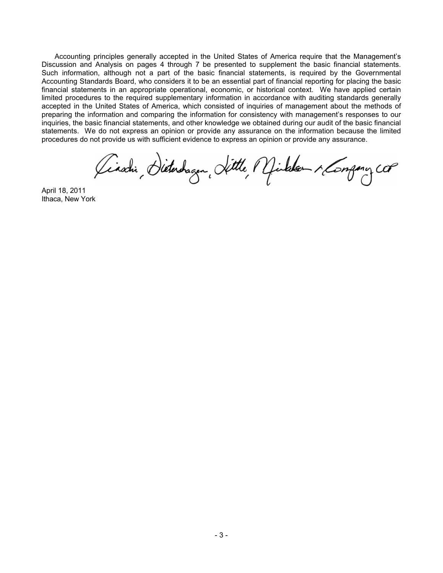Accounting principles generally accepted in the United States of America require that the Management's Discussion and Analysis on pages 4 through 7 be presented to supplement the basic financial statements. Such information, although not a part of the basic financial statements, is required by the Governmental Accounting Standards Board, who considers it to be an essential part of financial reporting for placing the basic financial statements in an appropriate operational, economic, or historical context. We have applied certain limited procedures to the required supplementary information in accordance with auditing standards generally accepted in the United States of America, which consisted of inquiries of management about the methods of preparing the information and comparing the information for consistency with management's responses to our inquiries, the basic financial statements, and other knowledge we obtained during our audit of the basic financial statements. We do not express an opinion or provide any assurance on the information because the limited procedures do not provide us with sufficient evidence to express an opinion or provide any assurance.

Cinadin, Dietershagen, Little, Micheler Mongony COP

April 18, 2011 Ithaca, New York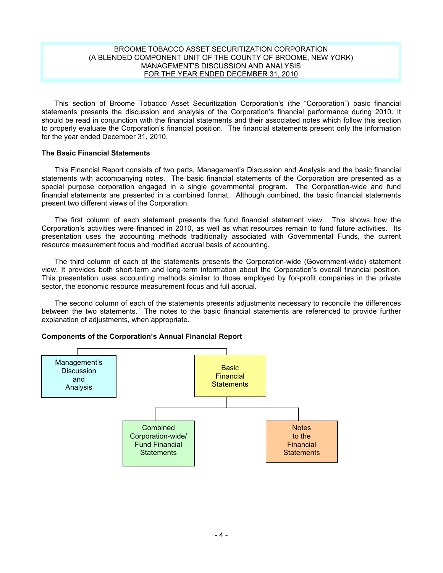# BROOME TOBACCO ASSET SECURITIZATION CORPORATION (A BLENDED COMPONENT UNIT OF THE COUNTY OF BROOME, NEW YORK) MANAGEMENT'S DISCUSSION AND ANALYSIS FOR THE YEAR ENDED DECEMBER 31, 2010

This section of Broome Tobacco Asset Securitization Corporation's (the "Corporation") basic financial statements presents the discussion and analysis of the Corporation's financial performance during 2010. It should be read in conjunction with the financial statements and their associated notes which follow this section to properly evaluate the Corporation's financial position. The financial statements present only the information for the year ended December 31, 2010.

# **The Basic Financial Statements**

This Financial Report consists of two parts, Management's Discussion and Analysis and the basic financial statements with accompanying notes. The basic financial statements of the Corporation are presented as a special purpose corporation engaged in a single governmental program. The Corporation-wide and fund financial statements are presented in a combined format. Although combined, the basic financial statements present two different views of the Corporation.

The first column of each statement presents the fund financial statement view. This shows how the Corporation's activities were financed in 2010, as well as what resources remain to fund future activities. Its presentation uses the accounting methods traditionally associated with Governmental Funds, the current resource measurement focus and modified accrual basis of accounting.

The third column of each of the statements presents the Corporation-wide (Government-wide) statement view. It provides both short-term and long-term information about the Corporation's overall financial position. This presentation uses accounting methods similar to those employed by for-profit companies in the private sector, the economic resource measurement focus and full accrual.

The second column of each of the statements presents adjustments necessary to reconcile the differences between the two statements. The notes to the basic financial statements are referenced to provide further explanation of adjustments, when appropriate.

# **Components of the Corporation's Annual Financial Report**

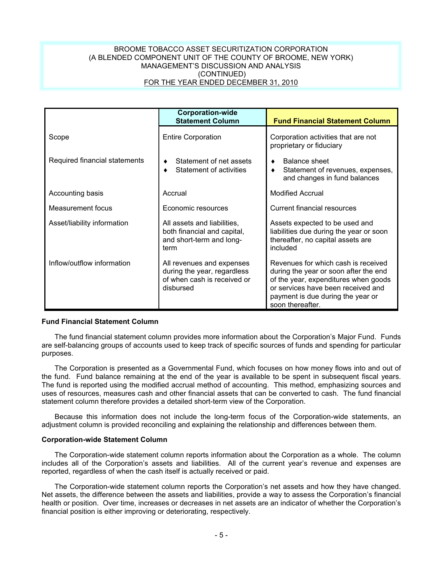# BROOME TOBACCO ASSET SECURITIZATION CORPORATION (A BLENDED COMPONENT UNIT OF THE COUNTY OF BROOME, NEW YORK) MANAGEMENT'S DISCUSSION AND ANALYSIS (CONTINUED) FOR THE YEAR ENDED DECEMBER 31, 2010

|                               | <b>Corporation-wide</b><br><b>Statement Column</b>                                                   | <b>Fund Financial Statement Column</b>                                                                                                                                                                              |  |  |
|-------------------------------|------------------------------------------------------------------------------------------------------|---------------------------------------------------------------------------------------------------------------------------------------------------------------------------------------------------------------------|--|--|
| Scope                         | <b>Entire Corporation</b>                                                                            | Corporation activities that are not<br>proprietary or fiduciary                                                                                                                                                     |  |  |
| Required financial statements | Statement of net assets<br>Statement of activities                                                   | Balance sheet<br>٠<br>Statement of revenues, expenses,<br>٠<br>and changes in fund balances                                                                                                                         |  |  |
| Accounting basis              | Accrual                                                                                              | <b>Modified Accrual</b>                                                                                                                                                                                             |  |  |
| Measurement focus             | Economic resources                                                                                   | Current financial resources                                                                                                                                                                                         |  |  |
| Asset/liability information   | All assets and liabilities,<br>both financial and capital,<br>and short-term and long-<br>term       | Assets expected to be used and<br>liabilities due during the year or soon<br>thereafter, no capital assets are<br>included                                                                                          |  |  |
| Inflow/outflow information    | All revenues and expenses<br>during the year, regardless<br>of when cash is received or<br>disbursed | Revenues for which cash is received<br>during the year or soon after the end<br>of the year, expenditures when goods<br>or services have been received and<br>payment is due during the year or<br>soon thereafter. |  |  |

# **Fund Financial Statement Column**

The fund financial statement column provides more information about the Corporation's Major Fund. Funds are self-balancing groups of accounts used to keep track of specific sources of funds and spending for particular purposes.

The Corporation is presented as a Governmental Fund, which focuses on how money flows into and out of the fund. Fund balance remaining at the end of the year is available to be spent in subsequent fiscal years. The fund is reported using the modified accrual method of accounting. This method, emphasizing sources and uses of resources, measures cash and other financial assets that can be converted to cash. The fund financial statement column therefore provides a detailed short-term view of the Corporation.

Because this information does not include the long-term focus of the Corporation-wide statements, an adjustment column is provided reconciling and explaining the relationship and differences between them.

# **Corporation-wide Statement Column**

The Corporation-wide statement column reports information about the Corporation as a whole. The column includes all of the Corporation's assets and liabilities. All of the current year's revenue and expenses are reported, regardless of when the cash itself is actually received or paid.

The Corporation-wide statement column reports the Corporation's net assets and how they have changed. Net assets, the difference between the assets and liabilities, provide a way to assess the Corporation's financial health or position. Over time, increases or decreases in net assets are an indicator of whether the Corporation's financial position is either improving or deteriorating, respectively.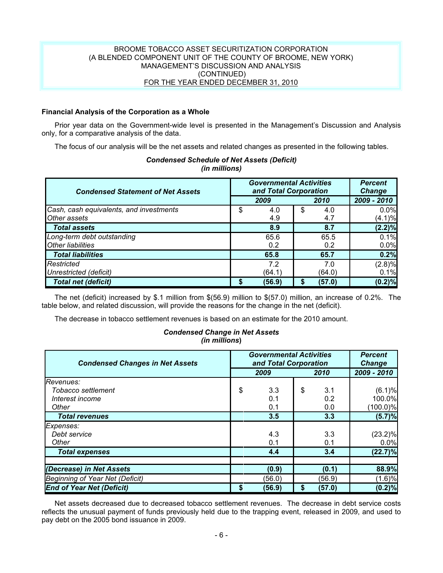# BROOME TOBACCO ASSET SECURITIZATION CORPORATION (A BLENDED COMPONENT UNIT OF THE COUNTY OF BROOME, NEW YORK) MANAGEMENT'S DISCUSSION AND ANALYSIS (CONTINUED) FOR THE YEAR ENDED DECEMBER 31, 2010

# **Financial Analysis of the Corporation as a Whole**

Prior year data on the Government-wide level is presented in the Management's Discussion and Analysis only, for a comparative analysis of the data.

The focus of our analysis will be the net assets and related changes as presented in the following tables.

| <b>Condensed Statement of Net Assets</b> | <b>Governmental Activities</b><br>and Total Corporation | <b>Percent</b><br><b>Change</b> |        |             |
|------------------------------------------|---------------------------------------------------------|---------------------------------|--------|-------------|
|                                          | 2009                                                    |                                 | 2010   | 2009 - 2010 |
| Cash, cash equivalents, and investments  | \$<br>4.0                                               | \$                              | 4.0    | 0.0%        |
| Other assets                             | 4.9                                                     |                                 | 4.7    | (4.1)%      |
| <b>Total assets</b>                      | 8.9                                                     |                                 | 8.7    | $(2.2)\%$   |
| Long-term debt outstanding               | 65.6                                                    |                                 | 65.5   | 0.1%        |
| Other liabilities                        | 0.2                                                     |                                 | 0.2    | 0.0%        |
| <b>Total liabilities</b>                 | 65.8                                                    |                                 | 65.7   | 0.2%        |
| Restricted                               | 7.2                                                     |                                 | 7.0    | (2.8)%      |
| Unrestricted (deficit)                   | (64.1)                                                  |                                 | (64.0) | 0.1%        |
| <b>Total net (deficit)</b>               | (56.9)                                                  | S                               | (57.0) | (0.2)%      |

# *Condensed Schedule of Net Assets (Deficit) (in millions)*

The net (deficit) increased by \$.1 million from \$(56.9) million to \$(57.0) million, an increase of 0.2%. The table below, and related discussion, will provide the reasons for the change in the net (deficit).

The decrease in tobacco settlement revenues is based on an estimate for the 2010 amount.

#### *Condensed Change in Net Assets (in millions***)**

| <b>Condensed Changes in Net Assets</b> | <b>Governmental Activities</b><br>and Total Corporation | <b>Percent</b><br><b>Change</b> |             |
|----------------------------------------|---------------------------------------------------------|---------------------------------|-------------|
|                                        | 2009                                                    | 2010                            | 2009 - 2010 |
| Revenues:                              |                                                         |                                 |             |
| <b>Tobacco settlement</b>              | \$<br>3.3                                               | \$<br>3.1                       | (6.1)%      |
| Interest income                        | 0.1                                                     | 0.2                             | 100.0%      |
| Other                                  | 0.1                                                     | 0.0                             | $(100.0)\%$ |
| <b>Total revenues</b>                  | 3.5                                                     | 3.3                             | (5.7)%      |
| Expenses:                              |                                                         |                                 |             |
| Debt service                           | 4.3                                                     | 3.3                             | $(23.2)\%$  |
| Other                                  | 0.1                                                     | 0.1                             | 0.0%        |
| <b>Total expenses</b>                  | 4.4                                                     | 3.4                             | $(22.7)\%$  |
|                                        |                                                         |                                 |             |
| (Decrease) in Net Assets               | (0.9)                                                   | (0.1)                           | 88.9%       |
| Beginning of Year Net (Deficit)        | (56.0)                                                  | (56.9)                          | (1.6)%      |
| <b>End of Year Net (Deficit)</b>       | \$<br>(56.9)                                            | \$<br>(57.0)                    | (0.2)%      |

Net assets decreased due to decreased tobacco settlement revenues. The decrease in debt service costs reflects the unusual payment of funds previously held due to the trapping event, released in 2009, and used to pay debt on the 2005 bond issuance in 2009.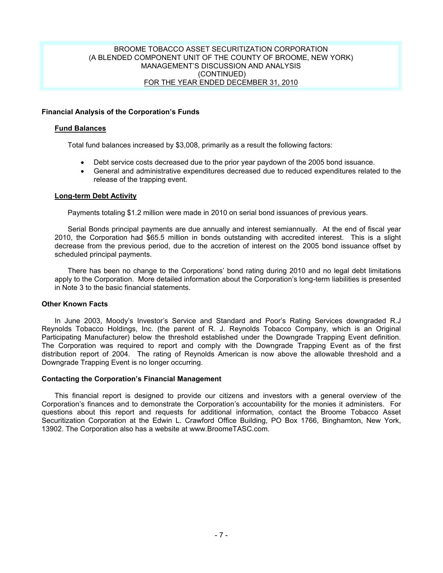# BROOME TOBACCO ASSET SECURITIZATION CORPORATION (A BLENDED COMPONENT UNIT OF THE COUNTY OF BROOME, NEW YORK) MANAGEMENT'S DISCUSSION AND ANALYSIS (CONTINUED) FOR THE YEAR ENDED DECEMBER 31, 2010

# **Financial Analysis of the Corporation's Funds**

# **Fund Balances**

Total fund balances increased by \$3,008, primarily as a result the following factors:

- Debt service costs decreased due to the prior year paydown of the 2005 bond issuance.
- General and administrative expenditures decreased due to reduced expenditures related to the release of the trapping event.

# **Long-term Debt Activity**

Payments totaling \$1.2 million were made in 2010 on serial bond issuances of previous years.

Serial Bonds principal payments are due annually and interest semiannually. At the end of fiscal year 2010, the Corporation had \$65.5 million in bonds outstanding with accredited interest. This is a slight decrease from the previous period, due to the accretion of interest on the 2005 bond issuance offset by scheduled principal payments.

There has been no change to the Corporations' bond rating during 2010 and no legal debt limitations apply to the Corporation. More detailed information about the Corporation's long-term liabilities is presented in Note 3 to the basic financial statements.

# **Other Known Facts**

In June 2003, Moody's Investor's Service and Standard and Poor's Rating Services downgraded R.J Reynolds Tobacco Holdings, Inc. (the parent of R. J. Reynolds Tobacco Company, which is an Original Participating Manufacturer) below the threshold established under the Downgrade Trapping Event definition. The Corporation was required to report and comply with the Downgrade Trapping Event as of the first distribution report of 2004. The rating of Reynolds American is now above the allowable threshold and a Downgrade Trapping Event is no longer occurring.

# **Contacting the Corporation's Financial Management**

This financial report is designed to provide our citizens and investors with a general overview of the Corporation's finances and to demonstrate the Corporation's accountability for the monies it administers. For questions about this report and requests for additional information, contact the Broome Tobacco Asset Securitization Corporation at the Edwin L. Crawford Office Building, PO Box 1766, Binghamton, New York, 13902. The Corporation also has a website at w[ww.BroomeTASC.com.](www.BroomeTASC.com.)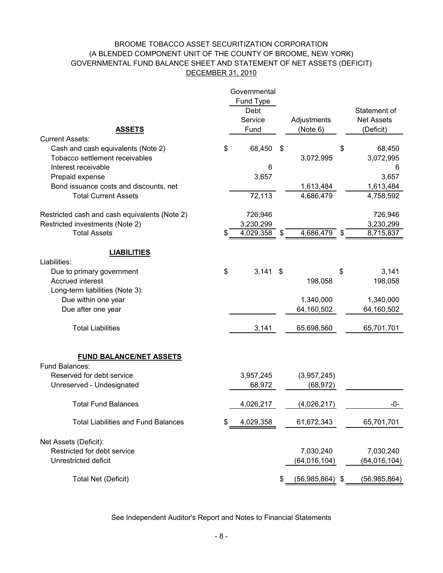# BROOME TOBACCO ASSET SECURITIZATION CORPORATION GOVERNMENTAL FUND BALANCE SHEET AND STATEMENT OF NET ASSETS (DEFICIT) DECEMBER 31, 2010 (A BLENDED COMPONENT UNIT OF THE COUNTY OF BROOME, NEW YORK)

| <b>ASSETS</b>                                 | Governmental<br>Fund Type<br>Debt<br>Service<br>Fund | Adjustments<br>(Note 6) |               | Statement of<br><b>Net Assets</b><br>(Deficit) |
|-----------------------------------------------|------------------------------------------------------|-------------------------|---------------|------------------------------------------------|
| <b>Current Assets:</b>                        |                                                      |                         |               |                                                |
| Cash and cash equivalents (Note 2)            | \$<br>68,450                                         | \$                      | \$            | 68,450                                         |
| Tobacco settlement receivables                |                                                      | 3,072,995               |               | 3,072,995                                      |
| Interest receivable                           | 6                                                    |                         |               | 6                                              |
| Prepaid expense                               | 3,657                                                |                         |               | 3,657                                          |
| Bond issuance costs and discounts, net        |                                                      | 1,613,484               |               | 1,613,484                                      |
| <b>Total Current Assets</b>                   | 72,113                                               | 4,686,479               |               | 4,758,592                                      |
| Restricted cash and cash equivalents (Note 2) | 726,946                                              |                         |               | 726,946                                        |
| Restricted investments (Note 2)               | 3,230,299                                            |                         |               | 3,230,299                                      |
| <b>Total Assets</b>                           | \$<br>4,029,358                                      | \$<br>4,686,479         | $\frac{1}{2}$ | 8,715,837                                      |
| <b>LIABILITIES</b>                            |                                                      |                         |               |                                                |
| Liabilities:                                  |                                                      |                         |               |                                                |
| Due to primary government                     | \$<br>3,141                                          | \$                      | \$            | 3,141                                          |
| Accrued interest                              |                                                      | 198,058                 |               | 198,058                                        |
| Long-term liabilities (Note 3):               |                                                      |                         |               |                                                |
| Due within one year                           |                                                      | 1,340,000               |               | 1,340,000                                      |
| Due after one year                            |                                                      | 64,160,502              |               | 64,160,502                                     |
| <b>Total Liabilities</b>                      | 3,141                                                | 65,698,560              |               | 65,701,701                                     |
| <b>FUND BALANCE/NET ASSETS</b>                |                                                      |                         |               |                                                |
| Fund Balances:                                |                                                      |                         |               |                                                |
| Reserved for debt service                     | 3,957,245                                            | (3,957,245)             |               |                                                |
| Unreserved - Undesignated                     | 68,972                                               | (68, 972)               |               |                                                |
| <b>Total Fund Balances</b>                    | 4,026,217                                            | (4,026,217)             |               | -0-                                            |
| <b>Total Liabilities and Fund Balances</b>    | \$<br>4,029,358                                      | 61,672,343              |               | 65,701,701                                     |
| Net Assets (Deficit):                         |                                                      |                         |               |                                                |
| Restricted for debt service                   |                                                      | 7,030,240               |               | 7,030,240                                      |
| Unrestricted deficit                          |                                                      | (64, 016, 104)          |               | (64, 016, 104)                                 |
| <b>Total Net (Deficit)</b>                    |                                                      | \$<br>(56, 985, 864)    | \$            | (56, 985, 864)                                 |

See Independent Auditor's Report and Notes to Financial Statements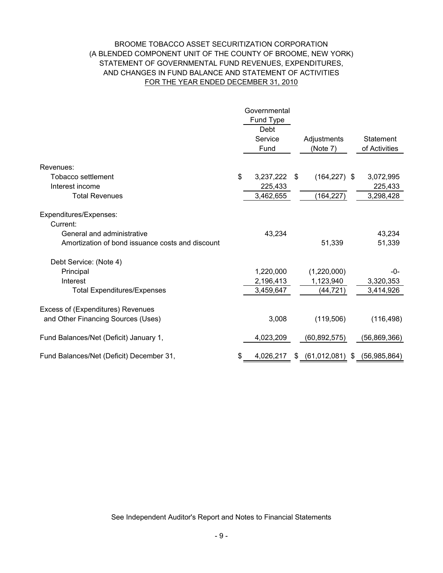# BROOME TOBACCO ASSET SECURITIZATION CORPORATION (A BLENDED COMPONENT UNIT OF THE COUNTY OF BROOME, NEW YORK) STATEMENT OF GOVERNMENTAL FUND REVENUES, EXPENDITURES, FOR THE YEAR ENDED DECEMBER 31, 2010 AND CHANGES IN FUND BALANCE AND STATEMENT OF ACTIVITIES

|                                                  | Governmental<br>Fund Type |    |                 |                    |
|--------------------------------------------------|---------------------------|----|-----------------|--------------------|
|                                                  | Debt<br>Service           |    | Adjustments     | <b>Statement</b>   |
|                                                  | Fund                      |    | (Note 7)        | of Activities      |
| Revenues:                                        |                           |    |                 |                    |
| Tobacco settlement                               | \$<br>3,237,222           | \$ | $(164, 227)$ \$ | 3,072,995          |
| Interest income                                  | 225,433                   |    |                 | 225,433            |
| <b>Total Revenues</b>                            | 3,462,655                 |    | (164,227)       | 3,298,428          |
| Expenditures/Expenses:                           |                           |    |                 |                    |
| Current:                                         |                           |    |                 |                    |
| General and administrative                       | 43,234                    |    |                 | 43,234             |
| Amortization of bond issuance costs and discount |                           |    | 51,339          | 51,339             |
| Debt Service: (Note 4)                           |                           |    |                 |                    |
| Principal                                        | 1,220,000                 |    | (1,220,000)     | -0-                |
| Interest                                         | 2,196,413                 |    | 1,123,940       | 3,320,353          |
| <b>Total Expenditures/Expenses</b>               | 3,459,647                 |    | (44,721)        | 3,414,926          |
| Excess of (Expenditures) Revenues                |                           |    |                 |                    |
| and Other Financing Sources (Uses)               | 3,008                     |    | (119,506)       | (116, 498)         |
| Fund Balances/Net (Deficit) January 1,           | 4,023,209                 |    | (60, 892, 575)  | (56,869,366)       |
| Fund Balances/Net (Deficit) December 31,         | \$<br>4,026,217           | S. | (61,012,081)    | \$<br>(56,985,864) |

See Independent Auditor's Report and Notes to Financial Statements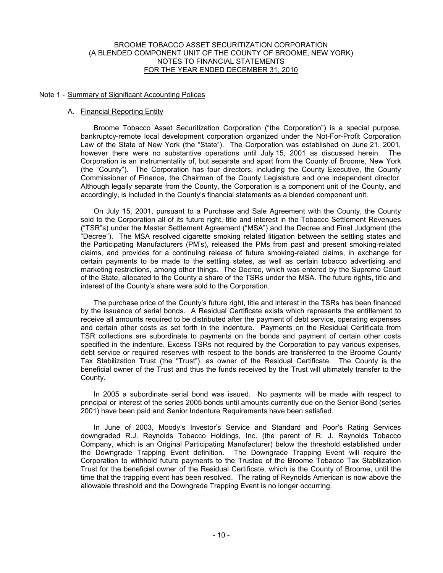#### Note 1 - Summary of Significant Accounting Polices

### A. Financial Reporting Entity

Broome Tobacco Asset Securitization Corporation ("the Corporation") is a special purpose, bankruptcy-remote local development corporation organized under the Not-For-Profit Corporation Law of the State of New York (the "State"). The Corporation was established on June 21, 2001, however there were no substantive operations until July 15, 2001 as discussed herein. The Corporation is an instrumentality of, but separate and apart from the County of Broome, New York (the "County"). The Corporation has four directors, including the County Executive, the County Commissioner of Finance, the Chairman of the County Legislature and one independent director. Although legally separate from the County, the Corporation is a component unit of the County, and accordingly, is included in the County's financial statements as a blended component unit.

On July 15, 2001, pursuant to a Purchase and Sale Agreement with the County, the County sold to the Corporation all of its future right, title and interest in the Tobacco Settlement Revenues ("TSR"s) under the Master Settlement Agreement ("MSA") and the Decree and Final Judgment (the "Decree"). The MSA resolved cigarette smoking related litigation between the settling states and the Participating Manufacturers (PM's), released the PMs from past and present smoking-related claims, and provides for a continuing release of future smoking-related claims, in exchange for certain payments to be made to the settling states, as well as certain tobacco advertising and marketing restrictions, among other things. The Decree, which was entered by the Supreme Court of the State, allocated to the County a share of the TSRs under the MSA. The future rights, title and interest of the County's share were sold to the Corporation.

The purchase price of the County's future right, title and interest in the TSRs has been financed by the issuance of serial bonds. A Residual Certificate exists which represents the entitlement to receive all amounts required to be distributed after the payment of debt service, operating expenses and certain other costs as set forth in the indenture. Payments on the Residual Certificate from TSR collections are subordinate to payments on the bonds and payment of certain other costs specified in the indenture. Excess TSRs not required by the Corporation to pay various expenses, debt service or required reserves with respect to the bonds are transferred to the Broome County Tax Stabilization Trust (the "Trust"), as owner of the Residual Certificate. The County is the beneficial owner of the Trust and thus the funds received by the Trust will ultimately transfer to the County.

In 2005 a subordinate serial bond was issued. No payments will be made with respect to principal or interest of the series 2005 bonds until amounts currently due on the Senior Bond (series 2001) have been paid and Senior Indenture Requirements have been satisfied.

In June of 2003, Moody's Investor's Service and Standard and Poor's Rating Services downgraded R.J. Reynolds Tobacco Holdings, Inc. (the parent of R. J. Reynolds Tobacco Company, which is an Original Participating Manufacturer) below the threshold established under the Downgrade Trapping Event definition. The Downgrade Trapping Event will require the Corporation to withhold future payments to the Trustee of the Broome Tobacco Tax Stabilization Trust for the beneficial owner of the Residual Certificate, which is the County of Broome, until the time that the trapping event has been resolved. The rating of Reynolds American is now above the allowable threshold and the Downgrade Trapping Event is no longer occurring.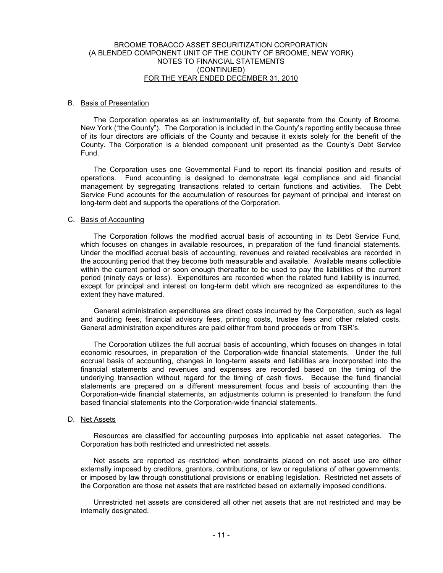### B. Basis of Presentation

The Corporation operates as an instrumentality of, but separate from the County of Broome, New York ("the County"). The Corporation is included in the County's reporting entity because three of its four directors are officials of the County and because it exists solely for the benefit of the County. The Corporation is a blended component unit presented as the County's Debt Service Fund.

The Corporation uses one Governmental Fund to report its financial position and results of operations. Fund accounting is designed to demonstrate legal compliance and aid financial management by segregating transactions related to certain functions and activities. The Debt Service Fund accounts for the accumulation of resources for payment of principal and interest on long-term debt and supports the operations of the Corporation.

# C. Basis of Accounting

The Corporation follows the modified accrual basis of accounting in its Debt Service Fund, which focuses on changes in available resources, in preparation of the fund financial statements. Under the modified accrual basis of accounting, revenues and related receivables are recorded in the accounting period that they become both measurable and available. Available means collectible within the current period or soon enough thereafter to be used to pay the liabilities of the current period (ninety days or less). Expenditures are recorded when the related fund liability is incurred, except for principal and interest on long-term debt which are recognized as expenditures to the extent they have matured.

General administration expenditures are direct costs incurred by the Corporation, such as legal and auditing fees, financial advisory fees, printing costs, trustee fees and other related costs. General administration expenditures are paid either from bond proceeds or from TSR's.

The Corporation utilizes the full accrual basis of accounting, which focuses on changes in total economic resources, in preparation of the Corporation-wide financial statements. Under the full accrual basis of accounting, changes in long-term assets and liabilities are incorporated into the financial statements and revenues and expenses are recorded based on the timing of the underlying transaction without regard for the timing of cash flows. Because the fund financial statements are prepared on a different measurement focus and basis of accounting than the Corporation-wide financial statements, an adjustments column is presented to transform the fund based financial statements into the Corporation-wide financial statements.

#### D. Net Assets

Resources are classified for accounting purposes into applicable net asset categories. The Corporation has both restricted and unrestricted net assets.

Net assets are reported as restricted when constraints placed on net asset use are either externally imposed by creditors, grantors, contributions, or law or regulations of other governments; or imposed by law through constitutional provisions or enabling legislation. Restricted net assets of the Corporation are those net assets that are restricted based on externally imposed conditions.

Unrestricted net assets are considered all other net assets that are not restricted and may be internally designated.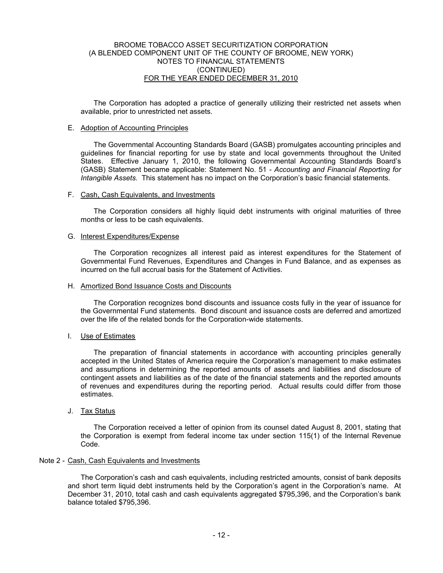The Corporation has adopted a practice of generally utilizing their restricted net assets when available, prior to unrestricted net assets.

### E. Adoption of Accounting Principles

The Governmental Accounting Standards Board (GASB) promulgates accounting principles and guidelines for financial reporting for use by state and local governments throughout the United States. Effective January 1, 2010, the following Governmental Accounting Standards Board's (GASB) Statement became applicable: Statement No. 51 - *Accounting and Financial Reporting for Intangible Assets.* This statement has no impact on the Corporation's basic financial statements.

#### F. Cash, Cash Equivalents, and Investments

The Corporation considers all highly liquid debt instruments with original maturities of three months or less to be cash equivalents.

#### G. Interest Expenditures/Expense

The Corporation recognizes all interest paid as interest expenditures for the Statement of Governmental Fund Revenues, Expenditures and Changes in Fund Balance, and as expenses as incurred on the full accrual basis for the Statement of Activities.

# H. Amortized Bond Issuance Costs and Discounts

The Corporation recognizes bond discounts and issuance costs fully in the year of issuance for the Governmental Fund statements. Bond discount and issuance costs are deferred and amortized over the life of the related bonds for the Corporation-wide statements.

# I. Use of Estimates

The preparation of financial statements in accordance with accounting principles generally accepted in the United States of America require the Corporation's management to make estimates and assumptions in determining the reported amounts of assets and liabilities and disclosure of contingent assets and liabilities as of the date of the financial statements and the reported amounts of revenues and expenditures during the reporting period. Actual results could differ from those estimates.

# J. Tax Status

The Corporation received a letter of opinion from its counsel dated August 8, 2001, stating that the Corporation is exempt from federal income tax under section 115(1) of the Internal Revenue Code.

#### Note 2 - Cash, Cash Equivalents and Investments

The Corporation's cash and cash equivalents, including restricted amounts, consist of bank deposits and short term liquid debt instruments held by the Corporation's agent in the Corporation's name. At December 31, 2010, total cash and cash equivalents aggregated \$795,396, and the Corporation's bank balance totaled \$795,396.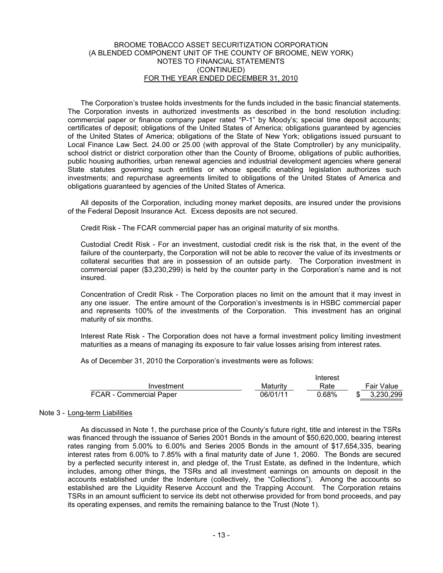The Corporation's trustee holds investments for the funds included in the basic financial statements. The Corporation invests in authorized investments as described in the bond resolution including: commercial paper or finance company paper rated "P-1" by Moody's; special time deposit accounts; certificates of deposit; obligations of the United States of America; obligations guaranteed by agencies of the United States of America; obligations of the State of New York; obligations issued pursuant to Local Finance Law Sect. 24.00 or 25.00 (with approval of the State Comptroller) by any municipality, school district or district corporation other than the County of Broome, obligations of public authorities, public housing authorities, urban renewal agencies and industrial development agencies where general State statutes governing such entities or whose specific enabling legislation authorizes such investments; and repurchase agreements limited to obligations of the United States of America and obligations guaranteed by agencies of the United States of America.

All deposits of the Corporation, including money market deposits, are insured under the provisions of the Federal Deposit Insurance Act. Excess deposits are not secured.

Credit Risk - The FCAR commercial paper has an original maturity of six months.

Custodial Credit Risk - For an investment, custodial credit risk is the risk that, in the event of the failure of the counterparty, the Corporation will not be able to recover the value of its investments or collateral securities that are in possession of an outside party. The Corporation investment in commercial paper (\$3,230,299) is held by the counter party in the Corporation's name and is not insured.

Concentration of Credit Risk - The Corporation places no limit on the amount that it may invest in any one issuer. The entire amount of the Corporation's investments is in HSBC commercial paper and represents 100% of the investments of the Corporation. This investment has an original maturity of six months.

Interest Rate Risk - The Corporation does not have a formal investment policy limiting investment maturities as a means of managing its exposure to fair value losses arising from interest rates.

As of December 31, 2010 the Corporation's investments were as follows:

|                         |          | Interest |            |
|-------------------------|----------|----------|------------|
| Investment              | Maturity | Rate     | Fair Value |
| FCAR - Commercial Paper | 06/01/11 | 0.68%    | 3.230.299  |

# Note 3 - Long-term Liabilities

As discussed in Note 1, the purchase price of the County's future right, title and interest in the TSRs was financed through the issuance of Series 2001 Bonds in the amount of \$50,620,000, bearing interest rates ranging from 5.00% to 6.00% and Series 2005 Bonds in the amount of \$17,654,335, bearing interest rates from 6.00% to 7.85% with a final maturity date of June 1, 2060. The Bonds are secured by a perfected security interest in, and pledge of, the Trust Estate, as defined in the Indenture, which includes, among other things, the TSRs and all investment earnings on amounts on deposit in the accounts established under the Indenture (collectively, the "Collections"). Among the accounts so established are the Liquidity Reserve Account and the Trapping Account. The Corporation retains TSRs in an amount sufficient to service its debt not otherwise provided for from bond proceeds, and pay its operating expenses, and remits the remaining balance to the Trust (Note 1).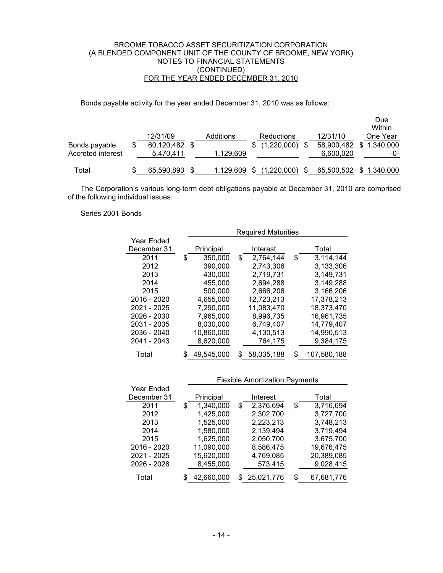Bonds payable activity for the year ended December 31, 2010 was as follows:

|                   |   |               |           |             |                         | Due<br>Within |
|-------------------|---|---------------|-----------|-------------|-------------------------|---------------|
|                   |   | 12/31/09      | Additions | Reductions  | 12/31/10                | One Year      |
| Bonds payable     | S | 60,120,482 \$ |           | (1,220,000) | 58,900,482              | \$1,340,000   |
| Accreted interest |   | 5,470,411     | 1,129,609 |             | 6,600,020               | $-()$         |
| Total             | S | 65,590,893    | 1,129,609 | (1.220.000) | 65,500,502 \$ 1,340,000 |               |

The Corporation's various long-term debt obligations payable at December 31, 2010 are comprised of the following individual issues:

# Series 2001 Bonds

|             | <b>Required Maturities</b> |            |    |            |    |             |  |  |  |
|-------------|----------------------------|------------|----|------------|----|-------------|--|--|--|
| Year Ended  |                            |            |    |            |    |             |  |  |  |
| December 31 |                            | Principal  |    | Interest   |    | Total       |  |  |  |
| 2011        | \$                         | 350,000    | \$ | 2.764.144  | S  | 3,114,144   |  |  |  |
| 2012        |                            | 390,000    |    | 2,743,306  |    | 3,133,306   |  |  |  |
| 2013        |                            | 430,000    |    | 2.719.731  |    | 3,149,731   |  |  |  |
| 2014        |                            | 455,000    |    | 2.694.288  |    | 3.149.288   |  |  |  |
| 2015        |                            | 500,000    |    | 2,666,206  |    | 3,166,206   |  |  |  |
| 2016 - 2020 |                            | 4.655.000  |    | 12,723,213 |    | 17,378,213  |  |  |  |
| 2021 - 2025 |                            | 7,290,000  |    | 11,083,470 |    | 18,373,470  |  |  |  |
| 2026 - 2030 |                            | 7,965,000  |    | 8,996,735  |    | 16,961,735  |  |  |  |
| 2031 - 2035 |                            | 8,030,000  |    | 6,749,407  |    | 14,779,407  |  |  |  |
| 2036 - 2040 |                            | 10,860,000 |    | 4,130,513  |    | 14,990,513  |  |  |  |
| 2041 - 2043 |                            | 8,620,000  |    | 764,175    |    | 9,384,175   |  |  |  |
| Total       |                            | 49,545,000 | S  | 58,035,188 | \$ | 107,580,188 |  |  |  |

|             | <b>Flexible Amortization Payments</b> |     |            |   |            |  |  |  |  |  |
|-------------|---------------------------------------|-----|------------|---|------------|--|--|--|--|--|
| Year Ended  |                                       |     |            |   |            |  |  |  |  |  |
| December 31 | Principal                             |     | Interest   |   | Total      |  |  |  |  |  |
| 2011        | \$<br>1,340,000                       | \$  | 2,376,694  | S | 3,716,694  |  |  |  |  |  |
| 2012        | 1,425,000                             |     | 2,302,700  |   | 3,727,700  |  |  |  |  |  |
| 2013        | 1,525,000                             |     | 2,223,213  |   | 3,748,213  |  |  |  |  |  |
| 2014        | 1,580,000                             |     | 2,139,494  |   | 3,719,494  |  |  |  |  |  |
| 2015        | 1,625,000                             |     | 2,050,700  |   | 3,675,700  |  |  |  |  |  |
| 2016 - 2020 | 11,090,000                            |     | 8,586,475  |   | 19,676,475 |  |  |  |  |  |
| 2021 - 2025 | 15,620,000                            |     | 4,769,085  |   | 20,389,085 |  |  |  |  |  |
| 2026 - 2028 | 8,455,000                             |     | 573,415    |   | 9,028,415  |  |  |  |  |  |
| Total       | 42.660.000                            | \$. | 25,021,776 | S | 67,681,776 |  |  |  |  |  |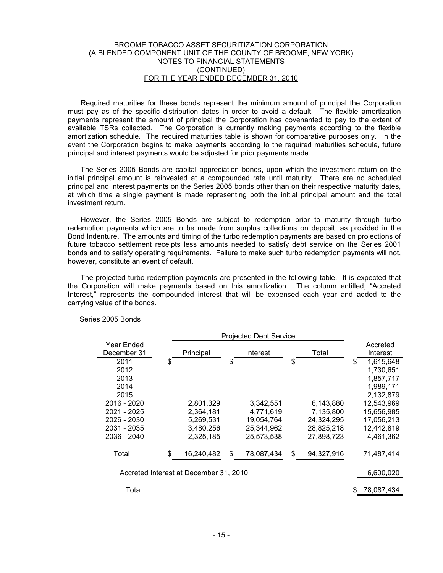Required maturities for these bonds represent the minimum amount of principal the Corporation must pay as of the specific distribution dates in order to avoid a default. The flexible amortization payments represent the amount of principal the Corporation has covenanted to pay to the extent of available TSRs collected. The Corporation is currently making payments according to the flexible amortization schedule. The required maturities table is shown for comparative purposes only. In the event the Corporation begins to make payments according to the required maturities schedule, future principal and interest payments would be adjusted for prior payments made.

The Series 2005 Bonds are capital appreciation bonds, upon which the investment return on the initial principal amount is reinvested at a compounded rate until maturity. There are no scheduled principal and interest payments on the Series 2005 bonds other than on their respective maturity dates, at which time a single payment is made representing both the initial principal amount and the total investment return.

However, the Series 2005 Bonds are subject to redemption prior to maturity through turbo redemption payments which are to be made from surplus collections on deposit, as provided in the Bond Indenture. The amounts and timing of the turbo redemption payments are based on projections of future tobacco settlement receipts less amounts needed to satisfy debt service on the Series 2001 bonds and to satisfy operating requirements. Failure to make such turbo redemption payments will not, however, constitute an event of default.

The projected turbo redemption payments are presented in the following table. It is expected that the Corporation will make payments based on this amortization. The column entitled, "Accreted Interest," represents the compounded interest that will be expensed each year and added to the carrying value of the bonds.

|             | <b>Projected Debt Service</b>          |                  |                  |                 |
|-------------|----------------------------------------|------------------|------------------|-----------------|
| Year Ended  |                                        |                  |                  | Accreted        |
| December 31 | Principal                              | Interest         | Total            | Interest        |
| 2011        | \$                                     | \$               | \$               | \$<br>1,615,648 |
| 2012        |                                        |                  |                  | 1,730,651       |
| 2013        |                                        |                  |                  | 1,857,717       |
| 2014        |                                        |                  |                  | 1,989,171       |
| 2015        |                                        |                  |                  | 2,132,879       |
| 2016 - 2020 | 2,801,329                              | 3,342,551        | 6,143,880        | 12,543,969      |
| 2021 - 2025 | 2,364,181                              | 4.771.619        | 7,135,800        | 15,656,985      |
| 2026 - 2030 | 5,269,531                              | 19.054.764       | 24,324,295       | 17,056,213      |
| 2031 - 2035 | 3,480,256                              | 25,344,962       | 28,825,218       | 12,442,819      |
| 2036 - 2040 | 2,325,185                              | 25,573,538       | 27.898.723       | 4,461,362       |
| Total       | \$<br>16,240,482                       | \$<br>78,087,434 | \$<br>94,327,916 | 71,487,414      |
|             | Accreted Interest at December 31, 2010 |                  |                  | 6,600,020       |
| Total       |                                        |                  |                  | 78,087,434      |

Series 2005 Bonds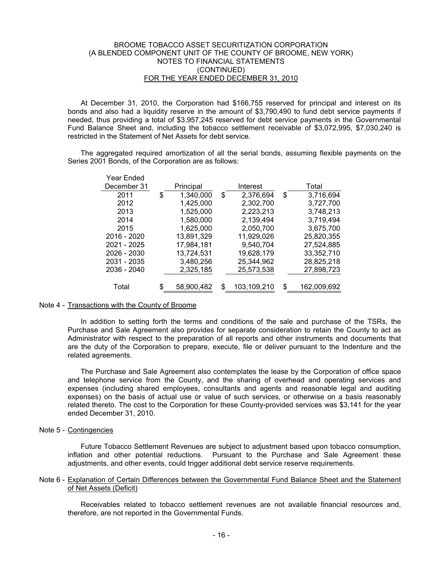At December 31, 2010, the Corporation had \$166,755 reserved for principal and interest on its bonds and also had a liquidity reserve in the amount of \$3,790,490 to fund debt service payments if needed, thus providing a total of \$3,957,245 reserved for debt service payments in the Governmental Fund Balance Sheet and, including the tobacco settlement receivable of \$3,072,995, \$7,030,240 is restricted in the Statement of Net Assets for debt service.

The aggregated required amortization of all the serial bonds, assuming flexible payments on the Series 2001 Bonds, of the Corporation are as follows:

| Year Ended  |                 |                   |    |             |
|-------------|-----------------|-------------------|----|-------------|
| December 31 | Principal       | Interest          |    | Total       |
| 2011        | \$<br>1,340,000 | \$<br>2,376,694   | S  | 3,716,694   |
| 2012        | 1,425,000       | 2,302,700         |    | 3,727,700   |
| 2013        | 1,525,000       | 2,223,213         |    | 3,748,213   |
| 2014        | 1,580,000       | 2,139,494         |    | 3,719,494   |
| 2015        | 1,625,000       | 2,050,700         |    | 3,675,700   |
| 2016 - 2020 | 13,891,329      | 11,929,026        |    | 25,820,355  |
| 2021 - 2025 | 17,984,181      | 9,540,704         |    | 27,524,885  |
| 2026 - 2030 | 13,724,531      | 19,628,179        |    | 33,352,710  |
| 2031 - 2035 | 3,480,256       | 25,344,962        |    | 28,825,218  |
| 2036 - 2040 | 2,325,185       | 25,573,538        |    | 27,898,723  |
|             |                 |                   |    |             |
| Total       | 58,900,482      | \$<br>103,109,210 | \$ | 162,009,692 |

# Note 4 - Transactions with the County of Broome

In addition to setting forth the terms and conditions of the sale and purchase of the TSRs, the Purchase and Sale Agreement also provides for separate consideration to retain the County to act as Administrator with respect to the preparation of all reports and other instruments and documents that are the duty of the Corporation to prepare, execute, file or deliver pursuant to the Indenture and the related agreements.

The Purchase and Sale Agreement also contemplates the lease by the Corporation of office space and telephone service from the County, and the sharing of overhead and operating services and expenses (including shared employees, consultants and agents and reasonable legal and auditing expenses) on the basis of actual use or value of such services, or otherwise on a basis reasonably related thereto. The cost to the Corporation for these County-provided services was \$3,141 for the year ended December 31, 2010.

#### Note 5 - Contingencies

Future Tobacco Settlement Revenues are subject to adjustment based upon tobacco consumption, inflation and other potential reductions. Pursuant to the Purchase and Sale Agreement these adjustments, and other events, could trigger additional debt service reserve requirements.

#### Note 6 - Explanation of Certain Differences between the Governmental Fund Balance Sheet and the Statement of Net Assets (Deficit)

Receivables related to tobacco settlement revenues are not available financial resources and, therefore, are not reported in the Governmental Funds.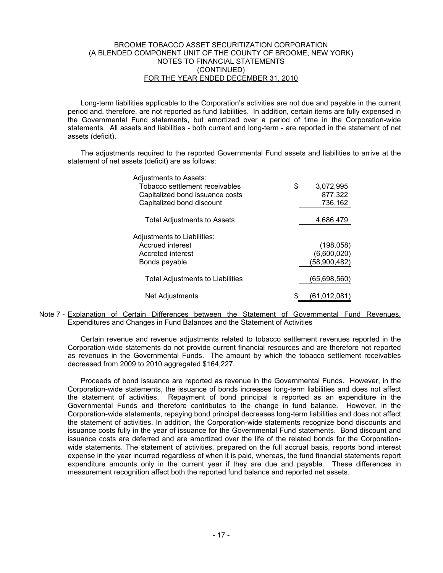Long-term liabilities applicable to the Corporation's activities are not due and payable in the current period and, therefore, are not reported as fund liabilities. In addition, certain items are fully expensed in the Governmental Fund statements, but amortized over a period of time in the Corporation-wide statements. All assets and liabilities - both current and long-term - are reported in the statement of net assets (deficit).

The adjustments required to the reported Governmental Fund assets and liabilities to arrive at the statement of net assets (deficit) are as follows:

| Adjustments to Assets:                  |                    |
|-----------------------------------------|--------------------|
| Tobacco settlement receivables          | \$<br>3.072.995    |
| Capitalized bond issuance costs         | 877,322            |
| Capitalized bond discount               | 736,162            |
|                                         |                    |
| Total Adjustments to Assets             | 4,686,479          |
| Adjustments to Liabilities:             |                    |
| Accrued interest                        | (198,058)          |
| Accreted interest                       | (6,600,020)        |
| Bonds payable                           | (58,900,482)       |
|                                         |                    |
| <b>Total Adjustments to Liabilities</b> | (65,698,560)       |
|                                         |                    |
| Net Adjustments                         | \$<br>(61,012,081) |

Note 7 - Explanation of Certain Differences between the Statement of Governmental Fund Revenues, Expenditures and Changes in Fund Balances and the Statement of Activities

Certain revenue and revenue adjustments related to tobacco settlement revenues reported in the Corporation-wide statements do not provide current financial resources and are therefore not reported as revenues in the Governmental Funds. The amount by which the tobacco settlement receivables decreased from 2009 to 2010 aggregated \$164,227.

Proceeds of bond issuance are reported as revenue in the Governmental Funds. However, in the Corporation-wide statements, the issuance of bonds increases long-term liabilities and does not affect the statement of activities. Repayment of bond principal is reported as an expenditure in the Governmental Funds and therefore contributes to the change in fund balance. However, in the Corporation-wide statements, repaying bond principal decreases long-term liabilities and does not affect the statement of activities. In addition, the Corporation-wide statements recognize bond discounts and issuance costs fully in the year of issuance for the Governmental Fund statements. Bond discount and issuance costs are deferred and are amortized over the life of the related bonds for the Corporationwide statements. The statement of activities, prepared on the full accrual basis, reports bond interest expense in the year incurred regardless of when it is paid, whereas, the fund financial statements report expenditure amounts only in the current year if they are due and payable. These differences in measurement recognition affect both the reported fund balance and reported net assets.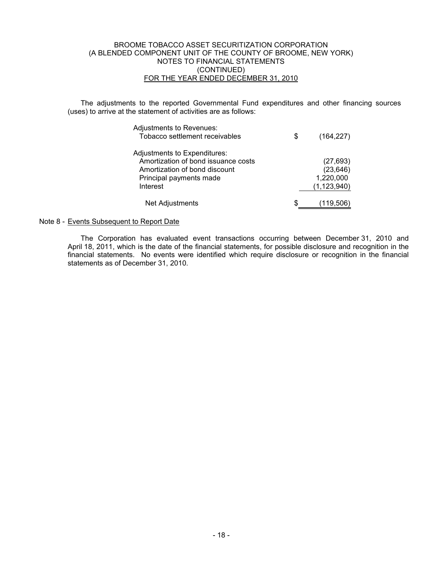The adjustments to the reported Governmental Fund expenditures and other financing sources (uses) to arrive at the statement of activities are as follows:

| Adjustments to Revenues:<br>Tobacco settlement receivables | \$<br>(164, 227) |
|------------------------------------------------------------|------------------|
| Adjustments to Expenditures:                               |                  |
| Amortization of bond issuance costs                        | (27, 693)        |
| Amortization of bond discount                              | (23, 646)        |
| Principal payments made                                    | 1,220,000        |
| Interest                                                   | (1, 123, 940)    |
| Net Adjustments                                            | \$<br>(119,506)  |

#### Note 8 - Events Subsequent to Report Date

The Corporation has evaluated event transactions occurring between December 31, 2010 and April 18, 2011, which is the date of the financial statements, for possible disclosure and recognition in the financial statements. No events were identified which require disclosure or recognition in the financial statements as of December 31, 2010.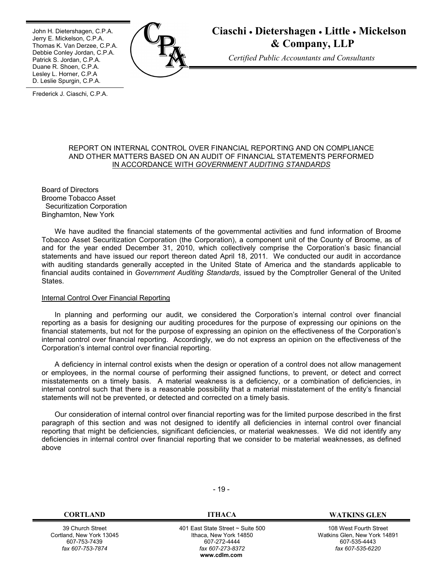Ī John H. Dietershagen, C.P.A. Jerry E. Mickelson, C.P.A. Thomas K. Van Derzee, C.P.A. Debbie Conley Jordan, C.P.A. Patrick S. Jordan, C.P.A. Duane R. Shoen, C.P.A. Lesley L. Horner, C.P.A D. Leslie Spurgin, C.P.A.



**Ciaschi Dietershagen Little Mickelson & Company, LLP**

 *Certified Public Accountants and Consultants*

 $\overline{a}$ Frederick J. Ciaschi, C.P.A.

# REPORT ON INTERNAL CONTROL OVER FINANCIAL REPORTING AND ON COMPLIANCE AND OTHER MATTERS BASED ON AN AUDIT OF FINANCIAL STATEMENTS PERFORMED IN ACCORDANCE WITH *GOVERNMENT AUDITING STANDARDS*

Board of Directors Broome Tobacco Asset Securitization Corporation Binghamton, New York

We have audited the financial statements of the governmental activities and fund information of Broome Tobacco Asset Securitization Corporation (the Corporation), a component unit of the County of Broome, as of and for the year ended December 31, 2010, which collectively comprise the Corporation's basic financial statements and have issued our report thereon dated April 18, 2011. We conducted our audit in accordance with auditing standards generally accepted in the United State of America and the standards applicable to financial audits contained in *Government Auditing Standards*, issued by the Comptroller General of the United States.

# Internal Control Over Financial Reporting

In planning and performing our audit, we considered the Corporation's internal control over financial reporting as a basis for designing our auditing procedures for the purpose of expressing our opinions on the financial statements, but not for the purpose of expressing an opinion on the effectiveness of the Corporation's internal control over financial reporting. Accordingly, we do not express an opinion on the effectiveness of the Corporation's internal control over financial reporting.

A deficiency in internal control exists when the design or operation of a control does not allow management or employees, in the normal course of performing their assigned functions, to prevent, or detect and correct misstatements on a timely basis. A material weakness is a deficiency, or a combination of deficiencies, in internal control such that there is a reasonable possibility that a material misstatement of the entity's financial statements will not be prevented, or detected and corrected on a timely basis.

Our consideration of internal control over financial reporting was for the limited purpose described in the first paragraph of this section and was not designed to identify all deficiencies in internal control over financial reporting that might be deficiencies, significant deficiencies, or material weaknesses. We did not identify any deficiencies in internal control over financial reporting that we consider to be material weaknesses, as defined above

39 Church Street Cortland, New York 13045 607-753-7439 *fax 607-753-7874*

- 19 -

 401 East State Street ~ Suite 500 Ithaca, New York 14850 607-272-4444  *fax 607-273-8372*  **w[ww.cdlm.com](www.cdlm.com)**

**CORTLAND ITHACA WATKINS GLEN**

108 West Fourth Street Watkins Glen, New York 14891 607-535-4443 *fax 607-535-6220*